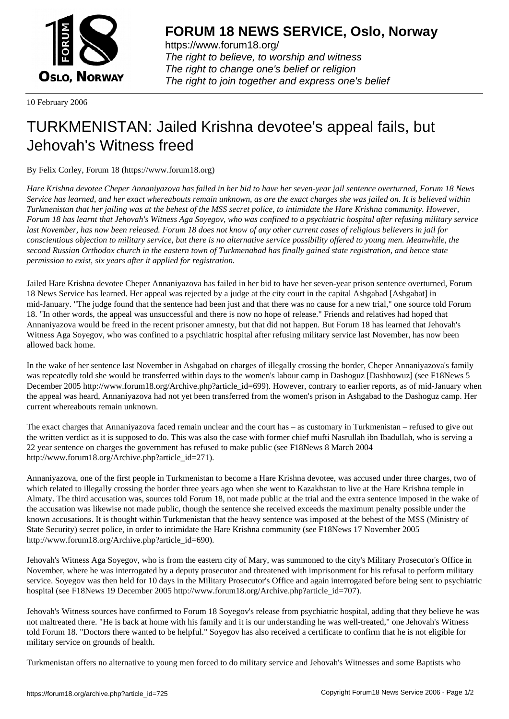

https://www.forum18.org/ The right to believe, to worship and witness The right to change one's belief or religion [The right to join together a](https://www.forum18.org/)nd express one's belief

10 February 2006

## [TURKMENISTA](https://www.forum18.org)N: Jailed Krishna devotee's appeal fails, but Jehovah's Witness freed

By Felix Corley, Forum 18 (https://www.forum18.org)

*Hare Krishna devotee Cheper Annaniyazova has failed in her bid to have her seven-year jail sentence overturned, Forum 18 News Service has learned, and her exact whereabouts remain unknown, as are the exact charges she was jailed on. It is believed within Turkmenistan that her jailing was at the behest of the MSS secret police, to intimidate the Hare Krishna community. However, Forum 18 has learnt that Jehovah's Witness Aga Soyegov, who was confined to a psychiatric hospital after refusing military service last November, has now been released. Forum 18 does not know of any other current cases of religious believers in jail for conscientious objection to military service, but there is no alternative service possibility offered to young men. Meanwhile, the second Russian Orthodox church in the eastern town of Turkmenabad has finally gained state registration, and hence state permission to exist, six years after it applied for registration.*

Jailed Hare Krishna devotee Cheper Annaniyazova has failed in her bid to have her seven-year prison sentence overturned, Forum 18 News Service has learned. Her appeal was rejected by a judge at the city court in the capital Ashgabad [Ashgabat] in mid-January. "The judge found that the sentence had been just and that there was no cause for a new trial," one source told Forum 18. "In other words, the appeal was unsuccessful and there is now no hope of release." Friends and relatives had hoped that Annaniyazova would be freed in the recent prisoner amnesty, but that did not happen. But Forum 18 has learned that Jehovah's Witness Aga Soyegov, who was confined to a psychiatric hospital after refusing military service last November, has now been allowed back home.

In the wake of her sentence last November in Ashgabad on charges of illegally crossing the border, Cheper Annaniyazova's family was repeatedly told she would be transferred within days to the women's labour camp in Dashoguz [Dashhowuz] (see F18News 5 December 2005 http://www.forum18.org/Archive.php?article\_id=699). However, contrary to earlier reports, as of mid-January when the appeal was heard, Annaniyazova had not yet been transferred from the women's prison in Ashgabad to the Dashoguz camp. Her current whereabouts remain unknown.

The exact charges that Annaniyazova faced remain unclear and the court has – as customary in Turkmenistan – refused to give out the written verdict as it is supposed to do. This was also the case with former chief mufti Nasrullah ibn Ibadullah, who is serving a 22 year sentence on charges the government has refused to make public (see F18News 8 March 2004 http://www.forum18.org/Archive.php?article\_id=271).

Annaniyazova, one of the first people in Turkmenistan to become a Hare Krishna devotee, was accused under three charges, two of which related to illegally crossing the border three years ago when she went to Kazakhstan to live at the Hare Krishna temple in Almaty. The third accusation was, sources told Forum 18, not made public at the trial and the extra sentence imposed in the wake of the accusation was likewise not made public, though the sentence she received exceeds the maximum penalty possible under the known accusations. It is thought within Turkmenistan that the heavy sentence was imposed at the behest of the MSS (Ministry of State Security) secret police, in order to intimidate the Hare Krishna community (see F18News 17 November 2005 http://www.forum18.org/Archive.php?article\_id=690).

Jehovah's Witness Aga Soyegov, who is from the eastern city of Mary, was summoned to the city's Military Prosecutor's Office in November, where he was interrogated by a deputy prosecutor and threatened with imprisonment for his refusal to perform military service. Soyegov was then held for 10 days in the Military Prosecutor's Office and again interrogated before being sent to psychiatric hospital (see F18News 19 December 2005 http://www.forum18.org/Archive.php?article\_id=707).

Jehovah's Witness sources have confirmed to Forum 18 Soyegov's release from psychiatric hospital, adding that they believe he was not maltreated there. "He is back at home with his family and it is our understanding he was well-treated," one Jehovah's Witness told Forum 18. "Doctors there wanted to be helpful." Soyegov has also received a certificate to confirm that he is not eligible for military service on grounds of health.

Turkmenistan offers no alternative to young men forced to do military service and Jehovah's Witnesses and some Baptists who